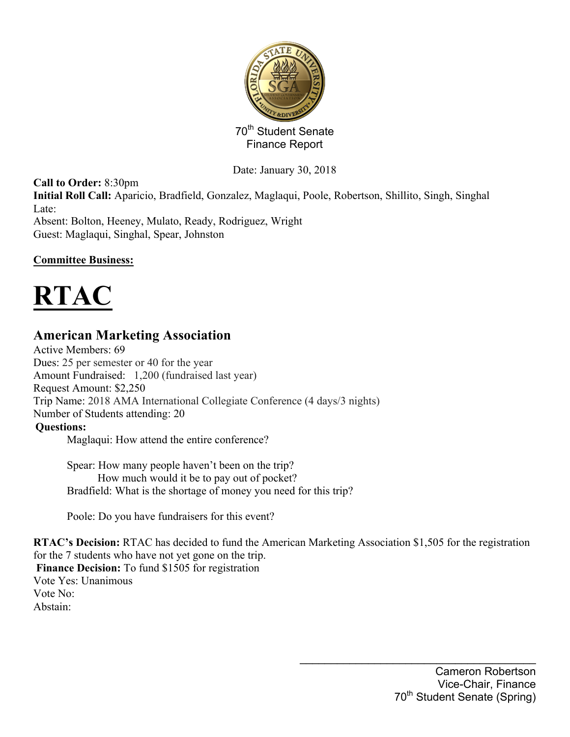

Date: January 30, 2018

**Call to Order:** 8:30pm **Initial Roll Call:** Aparicio, Bradfield, Gonzalez, Maglaqui, Poole, Robertson, Shillito, Singh, Singhal Late: Absent: Bolton, Heeney, Mulato, Ready, Rodriguez, Wright Guest: Maglaqui, Singhal, Spear, Johnston

#### **Committee Business:**



## **American Marketing Association**

Active Members: 69 Dues: 25 per semester or 40 for the year Amount Fundraised: 1,200 (fundraised last year) Request Amount: \$2,250 Trip Name: 2018 AMA International Collegiate Conference (4 days/3 nights) Number of Students attending: 20 **Questions:** Maglaqui: How attend the entire conference?

Spear: How many people haven't been on the trip? How much would it be to pay out of pocket? Bradfield: What is the shortage of money you need for this trip?

Poole: Do you have fundraisers for this event?

**RTAC's Decision:** RTAC has decided to fund the American Marketing Association \$1,505 for the registration for the 7 students who have not yet gone on the trip.

Finance Decision: To fund \$1505 for registration Vote Yes: Unanimous Vote No: Abstain: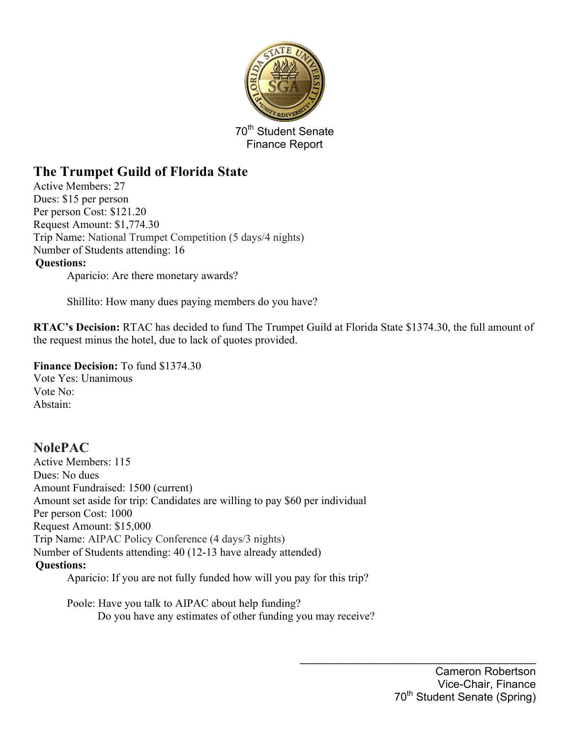

# **The Trumpet Guild of Florida State**

Active Members: 27 Dues: \$15 per person Per person Cost: \$121.20 Request Amount: \$1,774.30 Trip Name: National Trumpet Competition (5 days/4 nights) Number of Students attending: 16 **Questions:** Aparicio: Are there monetary awards?

Shillito: How many dues paying members do you have?

**RTAC's Decision:** RTAC has decided to fund The Trumpet Guild at Florida State \$1374.30, the full amount of the request minus the hotel, due to lack of quotes provided.

**Finance Decision:** To fund \$1374.30

Vote Yes: Unanimous Vote No: Abstain:

**NolePAC** Active Members: 115 Dues: No dues Amount Fundraised: 1500 (current) Amount set aside for trip: Candidates are willing to pay \$60 per individual Per person Cost: 1000 Request Amount: \$15,000 Trip Name: AIPAC Policy Conference (4 days/3 nights) Number of Students attending: 40 (12-13 have already attended) **Questions:** Aparicio: If you are not fully funded how will you pay for this trip?

Poole: Have you talk to AIPAC about help funding? Do you have any estimates of other funding you may receive?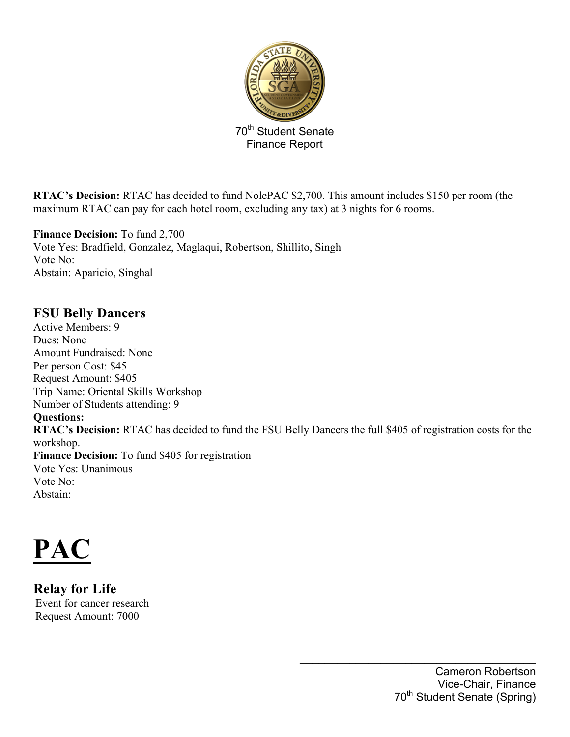

**RTAC's Decision:** RTAC has decided to fund NolePAC \$2,700. This amount includes \$150 per room (the maximum RTAC can pay for each hotel room, excluding any tax) at 3 nights for 6 rooms.

**Finance Decision:** To fund 2,700 Vote Yes: Bradfield, Gonzalez, Maglaqui, Robertson, Shillito, Singh Vote No: Abstain: Aparicio, Singhal

## **FSU Belly Dancers**

Active Members: 9 Dues: None Amount Fundraised: None Per person Cost: \$45 Request Amount: \$405 Trip Name: Oriental Skills Workshop Number of Students attending: 9 **Questions: RTAC's Decision:** RTAC has decided to fund the FSU Belly Dancers the full \$405 of registration costs for the workshop. **Finance Decision:** To fund \$405 for registration Vote Yes: Unanimous Vote No: Abstain:

**PAC**

**Relay for Life** Event for cancer research Request Amount: 7000

> Cameron Robertson Vice-Chair, Finance 70<sup>th</sup> Student Senate (Spring)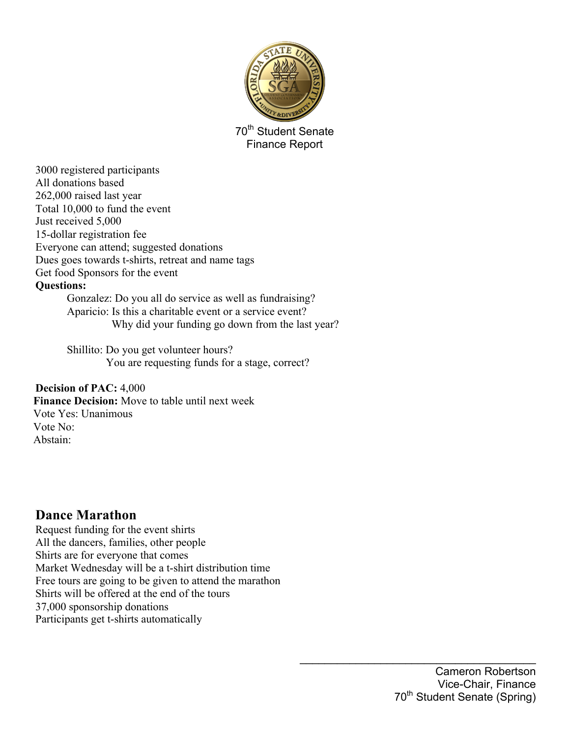

3000 registered participants All donations based 262,000 raised last year Total 10,000 to fund the event Just received 5,000 15-dollar registration fee Everyone can attend; suggested donations Dues goes towards t-shirts, retreat and name tags Get food Sponsors for the event

#### **Questions:**

Gonzalez: Do you all do service as well as fundraising? Aparicio: Is this a charitable event or a service event? Why did your funding go down from the last year?

Shillito: Do you get volunteer hours? You are requesting funds for a stage, correct?

#### **Decision of PAC:** 4,000

**Finance Decision:** Move to table until next week Vote Yes: Unanimous Vote No: Abstain:

### **Dance Marathon**

Request funding for the event shirts All the dancers, families, other people Shirts are for everyone that comes Market Wednesday will be a t-shirt distribution time Free tours are going to be given to attend the marathon Shirts will be offered at the end of the tours 37,000 sponsorship donations Participants get t-shirts automatically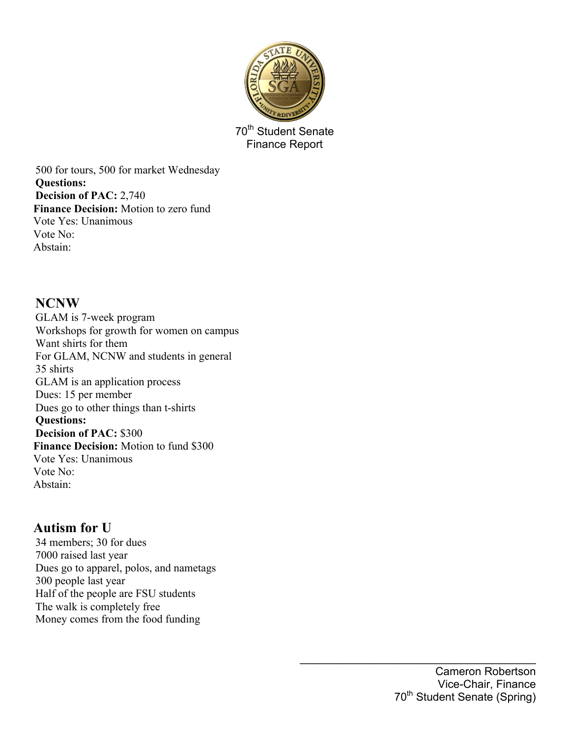

500 for tours, 500 for market Wednesday **Questions: Decision of PAC:** 2,740 **Finance Decision:** Motion to zero fund Vote Yes: Unanimous Vote No: Abstain:

### **NCNW**

GLAM is 7-week program Workshops for growth for women on campus Want shirts for them For GLAM, NCNW and students in general 35 shirts GLAM is an application process Dues: 15 per member Dues go to other things than t-shirts **Questions: Decision of PAC:** \$300 **Finance Decision:** Motion to fund \$300 Vote Yes: Unanimous Vote No: Abstain:

## **Autism for U**

34 members; 30 for dues 7000 raised last year Dues go to apparel, polos, and nametags 300 people last year Half of the people are FSU students The walk is completely free Money comes from the food funding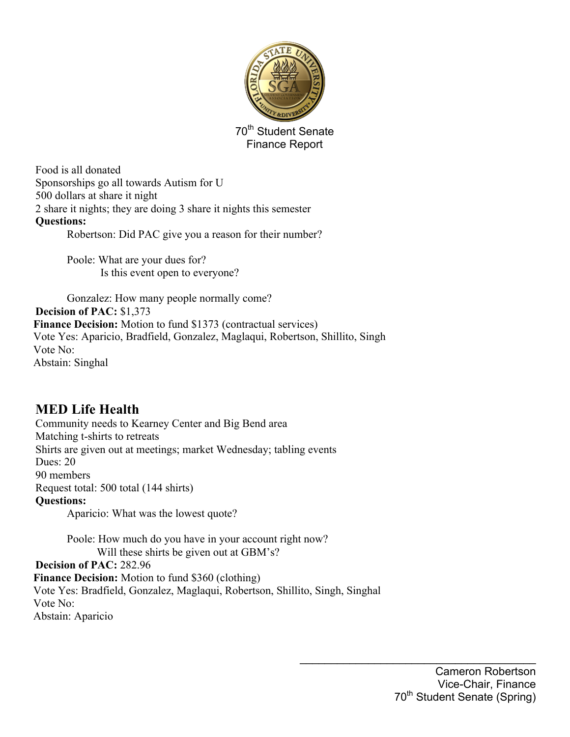

Food is all donated Sponsorships go all towards Autism for U 500 dollars at share it night 2 share it nights; they are doing 3 share it nights this semester **Questions:** Robertson: Did PAC give you a reason for their number?

> Poole: What are your dues for? Is this event open to everyone?

Gonzalez: How many people normally come? **Decision of PAC:** \$1,373 **Finance Decision:** Motion to fund \$1373 (contractual services) Vote Yes: Aparicio, Bradfield, Gonzalez, Maglaqui, Robertson, Shillito, Singh Vote No: Abstain: Singhal

# **MED Life Health**

Community needs to Kearney Center and Big Bend area Matching t-shirts to retreats Shirts are given out at meetings; market Wednesday; tabling events Dues: 20 90 members Request total: 500 total (144 shirts) **Questions:** Aparicio: What was the lowest quote?

> Poole: How much do you have in your account right now? Will these shirts be given out at GBM's?

**Decision of PAC:** 282.96 **Finance Decision:** Motion to fund \$360 (clothing)

Vote Yes: Bradfield, Gonzalez, Maglaqui, Robertson, Shillito, Singh, Singhal Vote No: Abstain: Aparicio